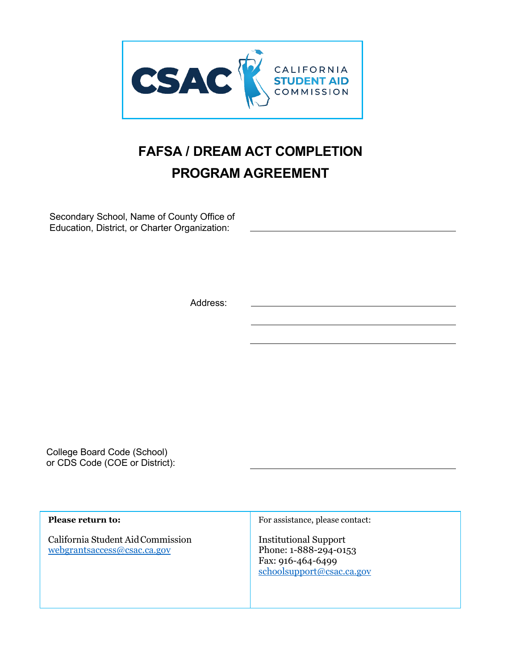

# **FAFSA / DREAM ACT COMPLETION PROGRAM AGREEMENT**

Secondary School, Name of County Office of Education, District, or Charter Organization:

Address:

College Board Code (School) or CDS Code (COE or District):

**Please return to:**

California Student Aid Commission [webgrantsaccess@csac.ca.gov](mailto:webgrantsaccess@csac.ca.gov)

For assistance, please contact:

Institutional Support Phone: 1-888-294-0153 Fax: 916-464-6499 [schoolsupport@csac.ca.gov](mailto:schoolsupport@csac.ca.gov)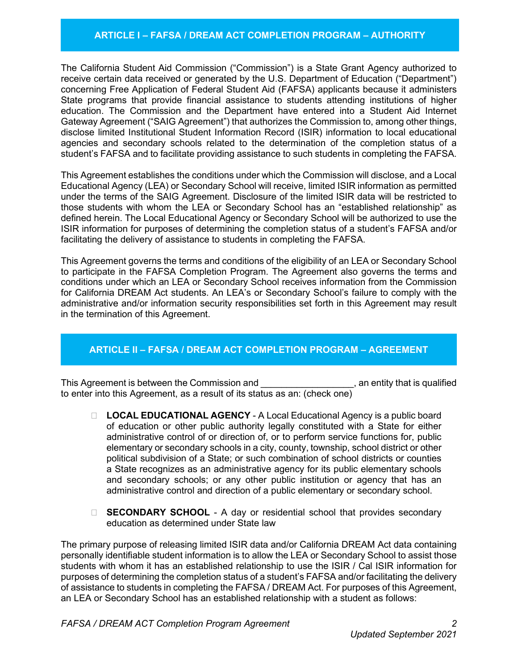## **ARTICLE I – FAFSA / DREAM ACT COMPLETION PROGRAM – AUTHORITY**

The California Student Aid Commission ("Commission") is a State Grant Agency authorized to receive certain data received or generated by the U.S. Department of Education ("Department") concerning Free Application of Federal Student Aid (FAFSA) applicants because it administers State programs that provide financial assistance to students attending institutions of higher education. The Commission and the Department have entered into a Student Aid Internet Gateway Agreement ("SAIG Agreement") that authorizes the Commission to, among other things, disclose limited Institutional Student Information Record (ISIR) information to local educational agencies and secondary schools related to the determination of the completion status of a student's FAFSA and to facilitate providing assistance to such students in completing the FAFSA.

This Agreement establishes the conditions under which the Commission will disclose, and a Local Educational Agency (LEA) or Secondary School will receive, limited ISIR information as permitted under the terms of the SAIG Agreement. Disclosure of the limited ISIR data will be restricted to those students with whom the LEA or Secondary School has an "established relationship" as defined herein. The Local Educational Agency or Secondary School will be authorized to use the ISIR information for purposes of determining the completion status of a student's FAFSA and/or facilitating the delivery of assistance to students in completing the FAFSA.

This Agreement governs the terms and conditions of the eligibility of an LEA or Secondary School to participate in the FAFSA Completion Program. The Agreement also governs the terms and conditions under which an LEA or Secondary School receives information from the Commission for California DREAM Act students. An LEA's or Secondary School's failure to comply with the administrative and/or information security responsibilities set forth in this Agreement may result in the termination of this Agreement.

# **ARTICLE II – FAFSA / DREAM ACT COMPLETION PROGRAM – AGREEMENT**

This Agreement is between the Commission and **with an example 20**, an entity that is qualified to enter into this Agreement, as a result of its status as an: (check one)

- □ LOCAL EDUCATIONAL AGENCY A Local Educational Agency is a public board of education or other public authority legally constituted with a State for either administrative control of or direction of, or to perform service functions for, public elementary or secondary schools in a city, county, township, school district or other political subdivision of a State; or such combination of school districts or counties a State recognizes as an administrative agency for its public elementary schools and secondary schools; or any other public institution or agency that has an administrative control and direction of a public elementary or secondary school.
- □ **SECONDARY SCHOOL** A day or residential school that provides secondary education as determined under State law

The primary purpose of releasing limited ISIR data and/or California DREAM Act data containing personally identifiable student information is to allow the LEA or Secondary School to assist those students with whom it has an established relationship to use the ISIR / Cal ISIR information for purposes of determining the completion status of a student's FAFSA and/or facilitating the delivery of assistance to students in completing the FAFSA / DREAM Act. For purposes of this Agreement, an LEA or Secondary School has an established relationship with a student as follows: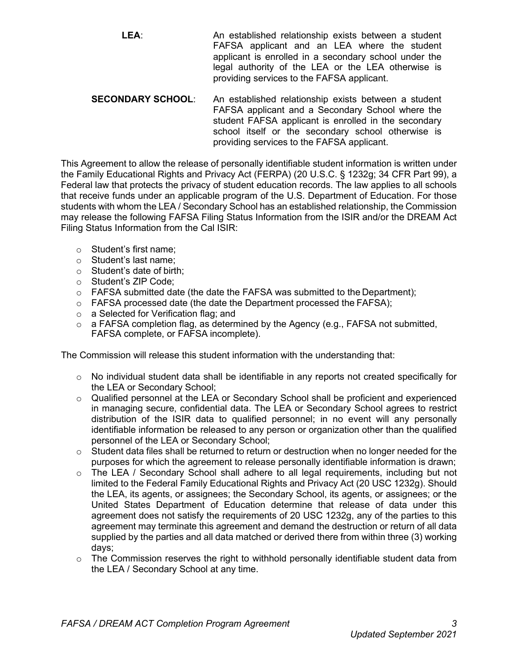**LEA**: An established relationship exists between a student FAFSA applicant and an LEA where the student applicant is enrolled in a secondary school under the legal authority of the LEA or the LEA otherwise is providing services to the FAFSA applicant.

**SECONDARY SCHOOL**: An established relationship exists between a student FAFSA applicant and a Secondary School where the student FAFSA applicant is enrolled in the secondary school itself or the secondary school otherwise is providing services to the FAFSA applicant.

This Agreement to allow the release of personally identifiable student information is written under the Family Educational Rights and Privacy Act (FERPA) (20 U.S.C. § 1232g; 34 CFR Part 99), a Federal law that protects the privacy of student education records. The law applies to all schools that receive funds under an applicable program of the U.S. Department of Education. For those students with whom the LEA / Secondary School has an established relationship, the Commission may release the following FAFSA Filing Status Information from the ISIR and/or the DREAM Act Filing Status Information from the Cal ISIR:

- o Student's first name;
- o Student's last name;
- o Student's date of birth;
- o Student's ZIP Code;
- o FAFSA submitted date (the date the FAFSA was submitted to the Department);
- o FAFSA processed date (the date the Department processed the FAFSA);
- o a Selected for Verification flag; and
- $\circ$  a FAFSA completion flag, as determined by the Agency (e.g., FAFSA not submitted, FAFSA complete, or FAFSA incomplete).

The Commission will release this student information with the understanding that:

- o No individual student data shall be identifiable in any reports not created specifically for the LEA or Secondary School;
- $\circ$  Qualified personnel at the LEA or Secondary School shall be proficient and experienced in managing secure, confidential data. The LEA or Secondary School agrees to restrict distribution of the ISIR data to qualified personnel; in no event will any personally identifiable information be released to any person or organization other than the qualified personnel of the LEA or Secondary School;
- $\circ$  Student data files shall be returned to return or destruction when no longer needed for the purposes for which the agreement to release personally identifiable information is drawn;
- $\circ$  The LEA / Secondary School shall adhere to all legal requirements, including but not limited to the Federal Family Educational Rights and Privacy Act (20 USC 1232g). Should the LEA, its agents, or assignees; the Secondary School, its agents, or assignees; or the United States Department of Education determine that release of data under this agreement does not satisfy the requirements of 20 USC 1232g, any of the parties to this agreement may terminate this agreement and demand the destruction or return of all data supplied by the parties and all data matched or derived there from within three (3) working days;
- $\circ$  The Commission reserves the right to withhold personally identifiable student data from the LEA / Secondary School at any time.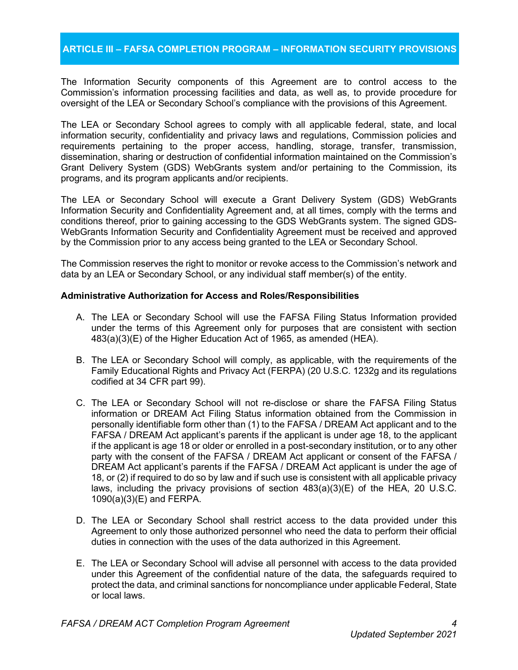# **ARTICLE III – FAFSA COMPLETION PROGRAM – INFORMATION SECURITY PROVISIONS**

The Information Security components of this Agreement are to control access to the Commission's information processing facilities and data, as well as, to provide procedure for oversight of the LEA or Secondary School's compliance with the provisions of this Agreement.

The LEA or Secondary School agrees to comply with all applicable federal, state, and local information security, confidentiality and privacy laws and regulations, Commission policies and requirements pertaining to the proper access, handling, storage, transfer, transmission, dissemination, sharing or destruction of confidential information maintained on the Commission's Grant Delivery System (GDS) WebGrants system and/or pertaining to the Commission, its programs, and its program applicants and/or recipients.

The LEA or Secondary School will execute a Grant Delivery System (GDS) WebGrants Information Security and Confidentiality Agreement and, at all times, comply with the terms and conditions thereof, prior to gaining accessing to the GDS WebGrants system. The signed GDS-WebGrants Information Security and Confidentiality Agreement must be received and approved by the Commission prior to any access being granted to the LEA or Secondary School.

The Commission reserves the right to monitor or revoke access to the Commission's network and data by an LEA or Secondary School, or any individual staff member(s) of the entity.

#### **Administrative Authorization for Access and Roles/Responsibilities**

- A. The LEA or Secondary School will use the FAFSA Filing Status Information provided under the terms of this Agreement only for purposes that are consistent with section 483(a)(3)(E) of the Higher Education Act of 1965, as amended (HEA).
- B. The LEA or Secondary School will comply, as applicable, with the requirements of the Family Educational Rights and Privacy Act (FERPA) (20 U.S.C. 1232g and its regulations codified at 34 CFR part 99).
- C. The LEA or Secondary School will not re-disclose or share the FAFSA Filing Status information or DREAM Act Filing Status information obtained from the Commission in personally identifiable form other than (1) to the FAFSA / DREAM Act applicant and to the FAFSA / DREAM Act applicant's parents if the applicant is under age 18, to the applicant if the applicant is age 18 or older or enrolled in a post-secondary institution, or to any other party with the consent of the FAFSA / DREAM Act applicant or consent of the FAFSA / DREAM Act applicant's parents if the FAFSA / DREAM Act applicant is under the age of 18, or (2) if required to do so by law and if such use is consistent with all applicable privacy laws, including the privacy provisions of section 483(a)(3)(E) of the HEA, 20 U.S.C. 1090(a)(3)(E) and FERPA.
- D. The LEA or Secondary School shall restrict access to the data provided under this Agreement to only those authorized personnel who need the data to perform their official duties in connection with the uses of the data authorized in this Agreement.
- E. The LEA or Secondary School will advise all personnel with access to the data provided under this Agreement of the confidential nature of the data, the safeguards required to protect the data, and criminal sanctions for noncompliance under applicable Federal, State or local laws.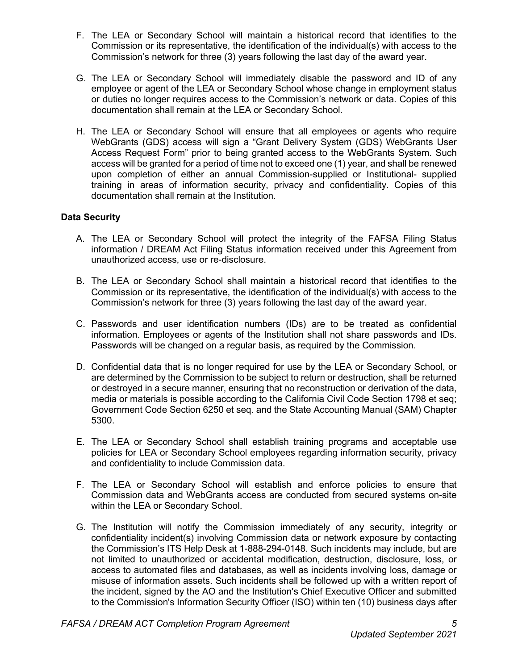- F. The LEA or Secondary School will maintain a historical record that identifies to the Commission or its representative, the identification of the individual(s) with access to the Commission's network for three (3) years following the last day of the award year.
- G. The LEA or Secondary School will immediately disable the password and ID of any employee or agent of the LEA or Secondary School whose change in employment status or duties no longer requires access to the Commission's network or data. Copies of this documentation shall remain at the LEA or Secondary School.
- H. The LEA or Secondary School will ensure that all employees or agents who require WebGrants (GDS) access will sign a "Grant Delivery System (GDS) WebGrants User Access Request Form" prior to being granted access to the WebGrants System. Such access will be granted for a period of time not to exceed one (1) year, and shall be renewed upon completion of either an annual Commission-supplied or Institutional- supplied training in areas of information security, privacy and confidentiality. Copies of this documentation shall remain at the Institution.

### **Data Security**

- A. The LEA or Secondary School will protect the integrity of the FAFSA Filing Status information / DREAM Act Filing Status information received under this Agreement from unauthorized access, use or re-disclosure.
- B. The LEA or Secondary School shall maintain a historical record that identifies to the Commission or its representative, the identification of the individual(s) with access to the Commission's network for three (3) years following the last day of the award year.
- C. Passwords and user identification numbers (IDs) are to be treated as confidential information. Employees or agents of the Institution shall not share passwords and IDs. Passwords will be changed on a regular basis, as required by the Commission.
- D. Confidential data that is no longer required for use by the LEA or Secondary School, or are determined by the Commission to be subject to return or destruction, shall be returned or destroyed in a secure manner, ensuring that no reconstruction or derivation of the data, media or materials is possible according to the California Civil Code Section 1798 et seq; Government Code Section 6250 et seq. and the State Accounting Manual (SAM) Chapter 5300.
- E. The LEA or Secondary School shall establish training programs and acceptable use policies for LEA or Secondary School employees regarding information security, privacy and confidentiality to include Commission data.
- F. The LEA or Secondary School will establish and enforce policies to ensure that Commission data and WebGrants access are conducted from secured systems on-site within the LEA or Secondary School.
- G. The Institution will notify the Commission immediately of any security, integrity or confidentiality incident(s) involving Commission data or network exposure by contacting the Commission's ITS Help Desk at 1-888-294-0148. Such incidents may include, but are not limited to unauthorized or accidental modification, destruction, disclosure, loss, or access to automated files and databases, as well as incidents involving loss, damage or misuse of information assets. Such incidents shall be followed up with a written report of the incident, signed by the AO and the Institution's Chief Executive Officer and submitted to the Commission's Information Security Officer (ISO) within ten (10) business days after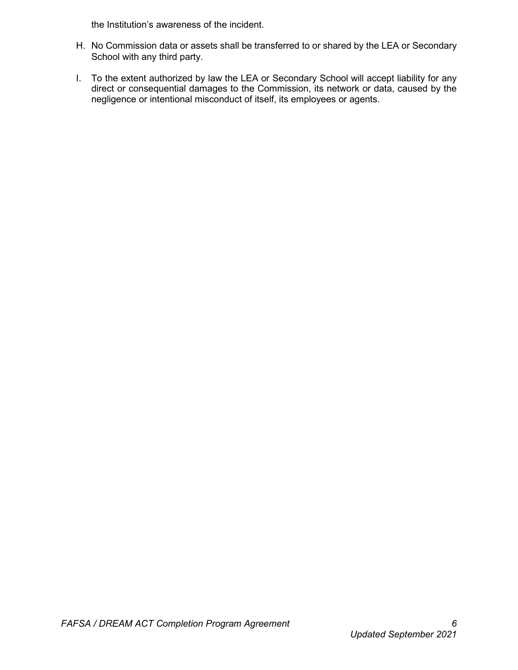the Institution's awareness of the incident.

- H. No Commission data or assets shall be transferred to or shared by the LEA or Secondary School with any third party.
- I. To the extent authorized by law the LEA or Secondary School will accept liability for any direct or consequential damages to the Commission, its network or data, caused by the negligence or intentional misconduct of itself, its employees or agents.